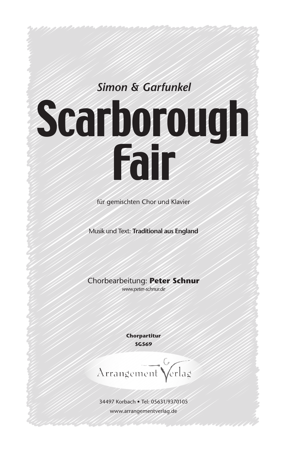## *Simon & Garfunkel*

## Scarborough Fair

für gemischten Chor und Klavier

Musik und Text: **Traditional aus England**

Chorbearbeitung: **Peter Schnur**

*www.peter-schnur.de*

**Chorpartitur SG569**

Arrangement Verlag

34497 Korbach • Tel: 05631/9370105 www.arrangementverlag.de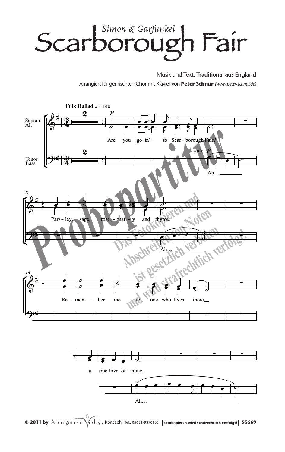## *Simon & Garfunkel* Scarborough Fair

Musik und Text: **Traditional aus England** Arrangiert für gemischten Chor mit Klavier von **Peter Schnur** *(www.peter-schnur.de)*





© 2011 by Arrangement Verlag, Korbach, Tel.: 05631/9370105 **Fotokopieren wird strafrechtlich verfolgt!** SG569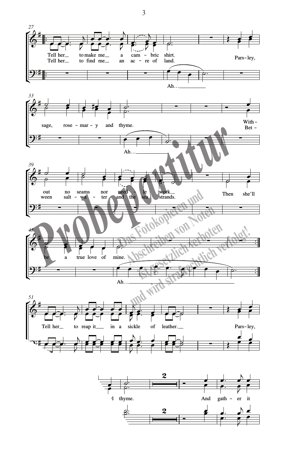